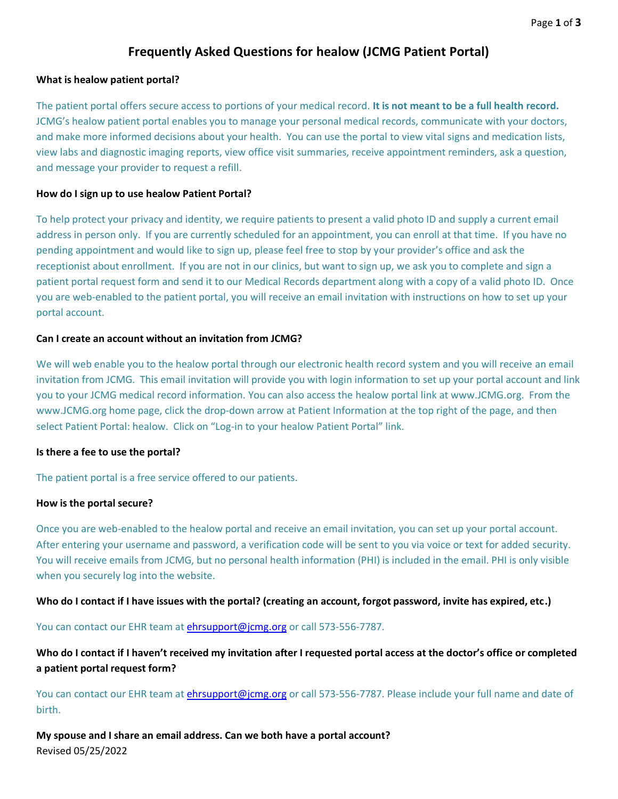# **Frequently Asked Questions for healow (JCMG Patient Portal)**

## **What is healow patient portal?**

The patient portal offers secure access to portions of your medical record. **It is not meant to be a full health record.** JCMG's healow patient portal enables you to manage your personal medical records, communicate with your doctors, and make more informed decisions about your health. You can use the portal to view vital signs and medication lists, view labs and diagnostic imaging reports, view office visit summaries, receive appointment reminders, ask a question, and message your provider to request a refill.

## **How do I sign up to use healow Patient Portal?**

To help protect your privacy and identity, we require patients to present a valid photo ID and supply a current email address in person only. If you are currently scheduled for an appointment, you can enroll at that time. If you have no pending appointment and would like to sign up, please feel free to stop by your provider's office and ask the receptionist about enrollment. If you are not in our clinics, but want to sign up, we ask you to complete and sign a patient portal request form and send it to our Medical Records department along with a copy of a valid photo ID. Once you are web-enabled to the patient portal, you will receive an email invitation with instructions on how to set up your portal account.

## **Can I create an account without an invitation from JCMG?**

We will web enable you to the healow portal through our electronic health record system and you will receive an email invitation from JCMG. This email invitation will provide you with login information to set up your portal account and link you to your JCMG medical record information. You can also access the healow portal link at www.JCMG.org. From the www.JCMG.org home page, click the drop-down arrow at Patient Information at the top right of the page, and then select Patient Portal: healow. Click on "Log-in to your healow Patient Portal" link.

#### **Is there a fee to use the portal?**

The patient portal is a free service offered to our patients.

#### **How is the portal secure?**

Once you are web-enabled to the healow portal and receive an email invitation, you can set up your portal account. After entering your username and password, a verification code will be sent to you via voice or text for added security. You will receive emails from JCMG, but no personal health information (PHI) is included in the email. PHI is only visible when you securely log into the website.

#### **Who do I contact if I have issues with the portal? (creating an account, forgot password, invite has expired, etc.)**

You can contact our EHR team at *ehrsupport@jcmg.org* or call 573-556-7787.

**Who do I contact if I haven't received my invitation after I requested portal access at the doctor's office or completed a patient portal request form?**

You can contact our EHR team at [ehrsupport@jcmg.org](mailto:ehrsupport@jcmg.org) or call 573-556-7787. Please include your full name and date of birth.

Revised 05/25/2022 **My spouse and I share an email address. Can we both have a portal account?**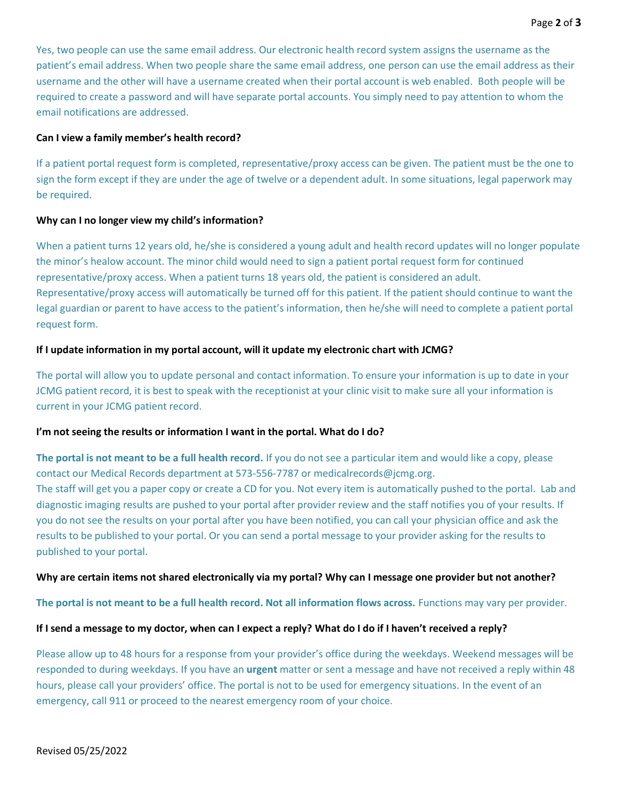Yes, two people can use the same email address. Our electronic health record system assigns the username as the patient's email address. When two people share the same email address, one person can use the email address as their username and the other will have a username created when their portal account is web enabled. Both people will be required to create a password and will have separate portal accounts. You simply need to pay attention to whom the email notifications are addressed.

## **Can I view a family member's health record?**

If a patient portal request form is completed, representative/proxy access can be given. The patient must be the one to sign the form except if they are under the age of twelve or a dependent adult. In some situations, legal paperwork may be required.

## **Why can I no longer view my child's information?**

When a patient turns 12 years old, he/she is considered a young adult and health record updates will no longer populate the minor's healow account. The minor child would need to sign a patient portal request form for continued representative/proxy access. When a patient turns 18 years old, the patient is considered an adult. Representative/proxy access will automatically be turned off for this patient. If the patient should continue to want the legal guardian or parent to have access to the patient's information, then he/she will need to complete a patient portal request form.

# **If I update information in my portal account, will it update my electronic chart with JCMG?**

The portal will allow you to update personal and contact information. To ensure your information is up to date in your JCMG patient record, it is best to speak with the receptionist at your clinic visit to make sure all your information is current in your JCMG patient record.

# **I'm not seeing the results or information I want in the portal. What do I do?**

**The portal is not meant to be a full health record.** If you do not see a particular item and would like a copy, please contact our Medical Records department at 573-556-7787 or medicalrecords@jcmg.org.

The staff will get you a paper copy or create a CD for you. Not every item is automatically pushed to the portal. Lab and diagnostic imaging results are pushed to your portal after provider review and the staff notifies you of your results. If you do not see the results on your portal after you have been notified, you can call your physician office and ask the results to be published to your portal. Or you can send a portal message to your provider asking for the results to published to your portal.

# **Why are certain items not shared electronically via my portal? Why can I message one provider but not another?**

**The portal is not meant to be a full health record. Not all information flows across.** Functions may vary per provider.

# **If I send a message to my doctor, when can I expect a reply? What do I do if I haven't received a reply?**

Please allow up to 48 hours for a response from your provider's office during the weekdays. Weekend messages will be responded to during weekdays. If you have an **urgent** matter or sent a message and have not received a reply within 48 hours, please call your providers' office. The portal is not to be used for emergency situations. In the event of an emergency, call 911 or proceed to the nearest emergency room of your choice.